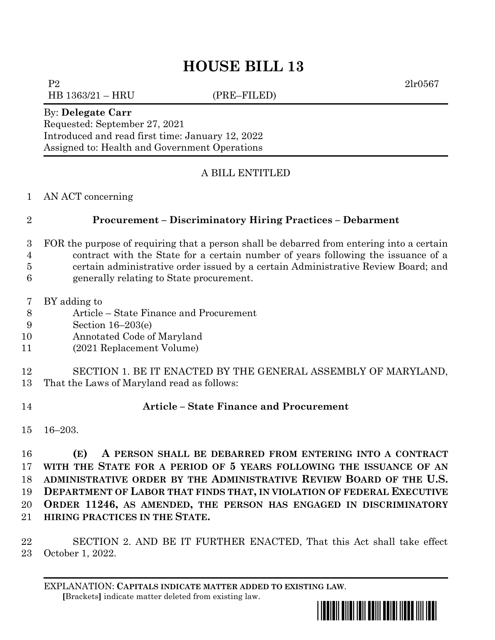# **HOUSE BILL 13**

P2 2lr0567 HB 1363/21 – HRU (PRE–FILED)

### By: **Delegate Carr**

Requested: September 27, 2021 Introduced and read first time: January 12, 2022 Assigned to: Health and Government Operations

## A BILL ENTITLED

### AN ACT concerning

### **Procurement – Discriminatory Hiring Practices – Debarment**

- FOR the purpose of requiring that a person shall be debarred from entering into a certain contract with the State for a certain number of years following the issuance of a certain administrative order issued by a certain Administrative Review Board; and
- generally relating to State procurement.
- BY adding to
- Article State Finance and Procurement
- Section 16–203(e)
- Annotated Code of Maryland
- (2021 Replacement Volume)

 SECTION 1. BE IT ENACTED BY THE GENERAL ASSEMBLY OF MARYLAND, That the Laws of Maryland read as follows:

### **Article – State Finance and Procurement**

16–203.

 **(E) A PERSON SHALL BE DEBARRED FROM ENTERING INTO A CONTRACT WITH THE STATE FOR A PERIOD OF 5 YEARS FOLLOWING THE ISSUANCE OF AN ADMINISTRATIVE ORDER BY THE ADMINISTRATIVE REVIEW BOARD OF THE U.S. DEPARTMENT OF LABOR THAT FINDS THAT, IN VIOLATION OF FEDERAL EXECUTIVE ORDER 11246, AS AMENDED, THE PERSON HAS ENGAGED IN DISCRIMINATORY HIRING PRACTICES IN THE STATE.**

 SECTION 2. AND BE IT FURTHER ENACTED, That this Act shall take effect October 1, 2022.

EXPLANATION: **CAPITALS INDICATE MATTER ADDED TO EXISTING LAW**.  **[**Brackets**]** indicate matter deleted from existing law.